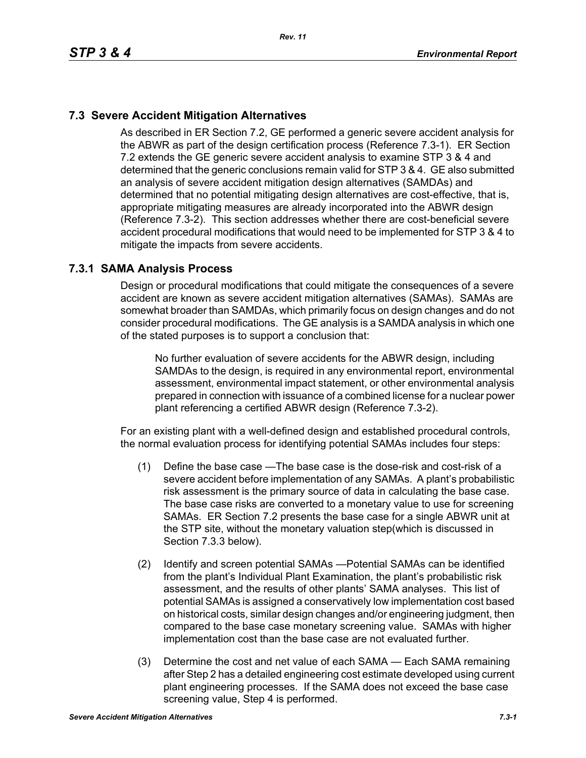# **7.3 Severe Accident Mitigation Alternatives**

As described in ER Section 7.2, GE performed a generic severe accident analysis for the ABWR as part of the design certification process (Reference 7.3-1). ER Section 7.2 extends the GE generic severe accident analysis to examine STP 3 & 4 and determined that the generic conclusions remain valid for STP 3 & 4. GE also submitted an analysis of severe accident mitigation design alternatives (SAMDAs) and determined that no potential mitigating design alternatives are cost-effective, that is, appropriate mitigating measures are already incorporated into the ABWR design (Reference 7.3-2). This section addresses whether there are cost-beneficial severe accident procedural modifications that would need to be implemented for STP 3 & 4 to mitigate the impacts from severe accidents.

## **7.3.1 SAMA Analysis Process**

Design or procedural modifications that could mitigate the consequences of a severe accident are known as severe accident mitigation alternatives (SAMAs). SAMAs are somewhat broader than SAMDAs, which primarily focus on design changes and do not consider procedural modifications. The GE analysis is a SAMDA analysis in which one of the stated purposes is to support a conclusion that:

No further evaluation of severe accidents for the ABWR design, including SAMDAs to the design, is required in any environmental report, environmental assessment, environmental impact statement, or other environmental analysis prepared in connection with issuance of a combined license for a nuclear power plant referencing a certified ABWR design (Reference 7.3-2).

For an existing plant with a well-defined design and established procedural controls, the normal evaluation process for identifying potential SAMAs includes four steps:

- (1) Define the base case —The base case is the dose-risk and cost-risk of a severe accident before implementation of any SAMAs. A plant's probabilistic risk assessment is the primary source of data in calculating the base case. The base case risks are converted to a monetary value to use for screening SAMAs. ER Section 7.2 presents the base case for a single ABWR unit at the STP site, without the monetary valuation step(which is discussed in Section 7.3.3 below).
- (2) Identify and screen potential SAMAs —Potential SAMAs can be identified from the plant's Individual Plant Examination, the plant's probabilistic risk assessment, and the results of other plants' SAMA analyses. This list of potential SAMAs is assigned a conservatively low implementation cost based on historical costs, similar design changes and/or engineering judgment, then compared to the base case monetary screening value. SAMAs with higher implementation cost than the base case are not evaluated further.
- (3) Determine the cost and net value of each SAMA Each SAMA remaining after Step 2 has a detailed engineering cost estimate developed using current plant engineering processes. If the SAMA does not exceed the base case screening value, Step 4 is performed.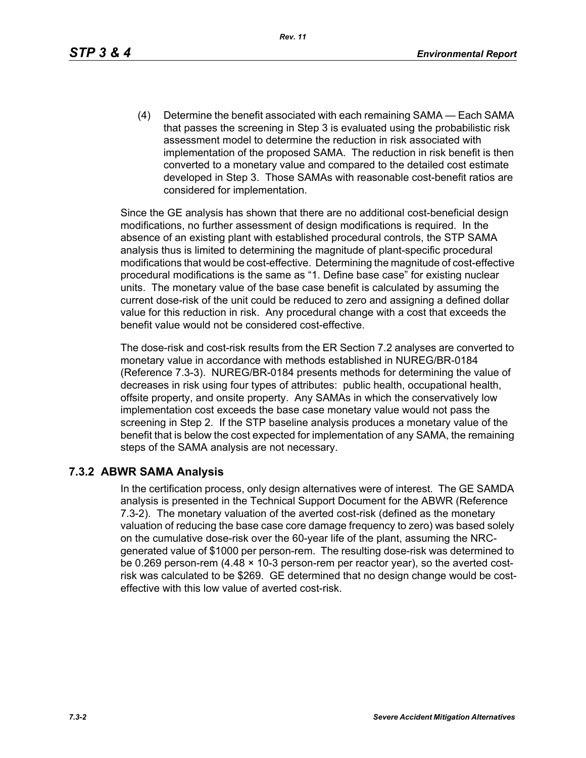(4) Determine the benefit associated with each remaining SAMA — Each SAMA that passes the screening in Step 3 is evaluated using the probabilistic risk assessment model to determine the reduction in risk associated with implementation of the proposed SAMA. The reduction in risk benefit is then converted to a monetary value and compared to the detailed cost estimate developed in Step 3. Those SAMAs with reasonable cost-benefit ratios are considered for implementation.

Since the GE analysis has shown that there are no additional cost-beneficial design modifications, no further assessment of design modifications is required. In the absence of an existing plant with established procedural controls, the STP SAMA analysis thus is limited to determining the magnitude of plant-specific procedural modifications that would be cost-effective. Determining the magnitude of cost-effective procedural modifications is the same as "1. Define base case" for existing nuclear units. The monetary value of the base case benefit is calculated by assuming the current dose-risk of the unit could be reduced to zero and assigning a defined dollar value for this reduction in risk. Any procedural change with a cost that exceeds the benefit value would not be considered cost-effective.

The dose-risk and cost-risk results from the ER Section 7.2 analyses are converted to monetary value in accordance with methods established in NUREG/BR-0184 (Reference 7.3-3). NUREG/BR-0184 presents methods for determining the value of decreases in risk using four types of attributes: public health, occupational health, offsite property, and onsite property. Any SAMAs in which the conservatively low implementation cost exceeds the base case monetary value would not pass the screening in Step 2. If the STP baseline analysis produces a monetary value of the benefit that is below the cost expected for implementation of any SAMA, the remaining steps of the SAMA analysis are not necessary.

#### **7.3.2 ABWR SAMA Analysis**

In the certification process, only design alternatives were of interest. The GE SAMDA analysis is presented in the Technical Support Document for the ABWR (Reference 7.3-2). The monetary valuation of the averted cost-risk (defined as the monetary valuation of reducing the base case core damage frequency to zero) was based solely on the cumulative dose-risk over the 60-year life of the plant, assuming the NRCgenerated value of \$1000 per person-rem. The resulting dose-risk was determined to be 0.269 person-rem (4.48 × 10-3 person-rem per reactor year), so the averted costrisk was calculated to be \$269. GE determined that no design change would be costeffective with this low value of averted cost-risk.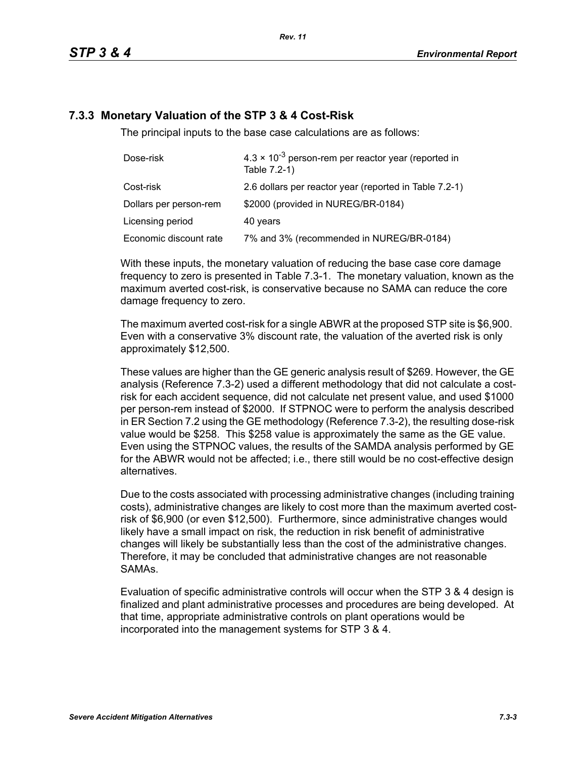### **7.3.3 Monetary Valuation of the STP 3 & 4 Cost-Risk**

The principal inputs to the base case calculations are as follows:

| Dose-risk              | $4.3 \times 10^{-3}$ person-rem per reactor year (reported in<br>Table 7.2-1) |
|------------------------|-------------------------------------------------------------------------------|
| Cost-risk              | 2.6 dollars per reactor year (reported in Table 7.2-1)                        |
| Dollars per person-rem | \$2000 (provided in NUREG/BR-0184)                                            |
| Licensing period       | 40 years                                                                      |
| Economic discount rate | 7% and 3% (recommended in NUREG/BR-0184)                                      |

With these inputs, the monetary valuation of reducing the base case core damage frequency to zero is presented in Table 7.3-1. The monetary valuation, known as the maximum averted cost-risk, is conservative because no SAMA can reduce the core damage frequency to zero.

The maximum averted cost-risk for a single ABWR at the proposed STP site is \$6,900. Even with a conservative 3% discount rate, the valuation of the averted risk is only approximately \$12,500.

These values are higher than the GE generic analysis result of \$269. However, the GE analysis (Reference 7.3-2) used a different methodology that did not calculate a costrisk for each accident sequence, did not calculate net present value, and used \$1000 per person-rem instead of \$2000. If STPNOC were to perform the analysis described in ER Section 7.2 using the GE methodology (Reference 7.3-2), the resulting dose-risk value would be \$258. This \$258 value is approximately the same as the GE value. Even using the STPNOC values, the results of the SAMDA analysis performed by GE for the ABWR would not be affected; i.e., there still would be no cost-effective design alternatives.

Due to the costs associated with processing administrative changes (including training costs), administrative changes are likely to cost more than the maximum averted costrisk of \$6,900 (or even \$12,500). Furthermore, since administrative changes would likely have a small impact on risk, the reduction in risk benefit of administrative changes will likely be substantially less than the cost of the administrative changes. Therefore, it may be concluded that administrative changes are not reasonable SAMAs.

Evaluation of specific administrative controls will occur when the STP 3 & 4 design is finalized and plant administrative processes and procedures are being developed. At that time, appropriate administrative controls on plant operations would be incorporated into the management systems for STP 3 & 4.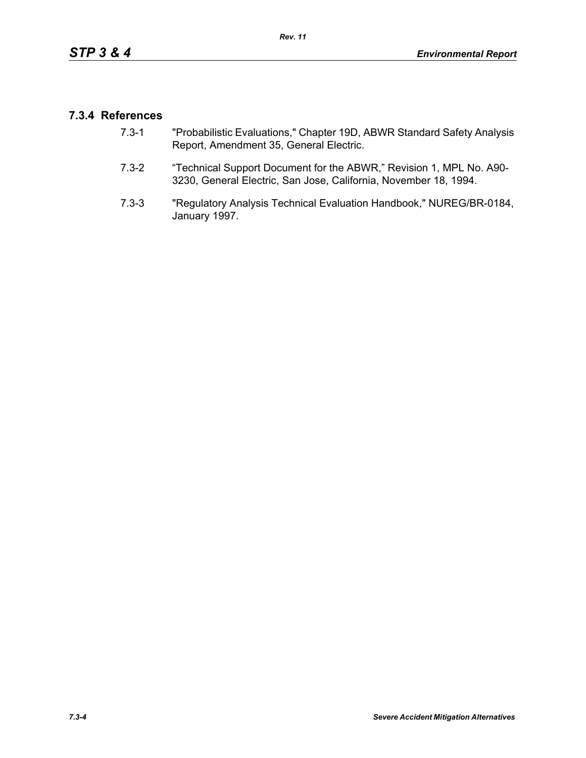### **7.3.4 References**

- 7.3-1 "Probabilistic Evaluations," Chapter 19D, ABWR Standard Safety Analysis Report, Amendment 35, General Electric.
- 7.3-2 "Technical Support Document for the ABWR," Revision 1, MPL No. A90- 3230, General Electric, San Jose, California, November 18, 1994.
- 7.3-3 "Regulatory Analysis Technical Evaluation Handbook," NUREG/BR-0184, January 1997.